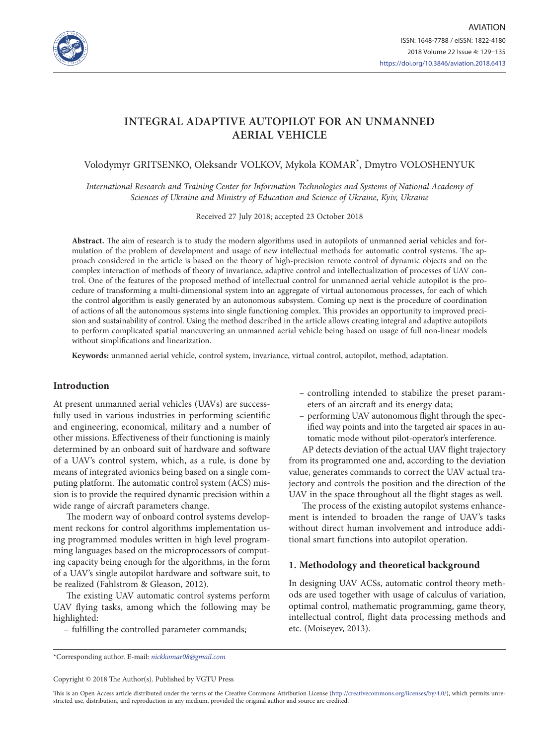

# **INTEGRAL ADAPTIVE AUTOPILOT FOR AN UNMANNED AERIAL VEHICLE**

Volodymyr GRITSENKO, Oleksandr VOLKOV, Mykola KOMAR\* , Dmytro VOLOSHENYUK

*International Research and Training Center for Information Technologies and Systems of National Academy of Sciences of Ukraine and Ministry of Education and Science of Ukraine, Kyiv, Ukraine*

Received 27 July 2018; accepted 23 October 2018

**Abstract.** The aim of research is to study the modern algorithms used in autopilots of unmanned aerial vehicles and formulation of the problem of development and usage of new intellectual methods for automatic control systems. The approach considered in the article is based on the theory of high-precision remote control of dynamic objects and on the complex interaction of methods of theory of invariance, adaptive control and intellectualization of processes of UAV control. One of the features of the proposed method of intellectual control for unmanned aerial vehicle autopilot is the procedure of transforming a multi-dimensional system into an aggregate of virtual autonomous processes, for each of which the control algorithm is easily generated by an autonomous subsystem. Coming up next is the procedure of coordination of actions of all the autonomous systems into single functioning complex. This provides an opportunity to improved precision and sustainability of control. Using the method described in the article allows creating integral and adaptive autopilots to perform complicated spatial maneuvering an unmanned aerial vehicle being based on usage of full non-linear models without simplifications and linearization.

**Keywords:** unmanned aerial vehicle, control system, invariance, virtual control, autopilot, method, adaptation.

### **Introduction**

At present unmanned aerial vehicles (UAVs) are successfully used in various industries in performing scientific and engineering, economical, military and a number of other missions. Effectiveness of their functioning is mainly determined by an onboard suit of hardware and software of a UAV's control system, which, as a rule, is done by means of integrated avionics being based on a single computing platform. The automatic control system (ACS) mission is to provide the required dynamic precision within a wide range of aircraft parameters change.

The modern way of onboard control systems development reckons for control algorithms implementation using programmed modules written in high level programming languages based on the microprocessors of computing capacity being enough for the algorithms, in the form of a UAV's single autopilot hardware and software suit, to be realized (Fahlstrom & Gleason, 2012).

The existing UAV automatic control systems perform UAV flying tasks, among which the following may be highlighted:

– fulfilling the controlled parameter commands;

- controlling intended to stabilize the preset parameters of an aircraft and its energy data;
- performing UAV autonomous flight through the specified way points and into the targeted air spaces in automatic mode without pilot-operator's interference.

AP detects deviation of the actual UAV flight trajectory from its programmed one and, according to the deviation value, generates commands to correct the UAV actual trajectory and controls the position and the direction of the UAV in the space throughout all the flight stages as well.

The process of the existing autopilot systems enhancement is intended to broaden the range of UAV's tasks without direct human involvement and introduce additional smart functions into autopilot operation.

#### **1. Methodology and theoretical background**

In designing UAV ACSs, automatic control theory methods are used together with usage of calculus of variation, optimal control, mathematic programming, game theory, intellectual control, flight data processing methods and etc. (Moiseyev, 2013).

\*Corresponding author. E-mail: *nickkomar08@gmail.com*

Copyright © 2018 The Author(s). Published by VGTU Press

This is an Open Access article distributed under the terms of the Creative Commons Attribution License (<http://creativecommons.org/licenses/by/4.0/>), which permits unrestricted use, distribution, and reproduction in any medium, provided the original author and source are credited.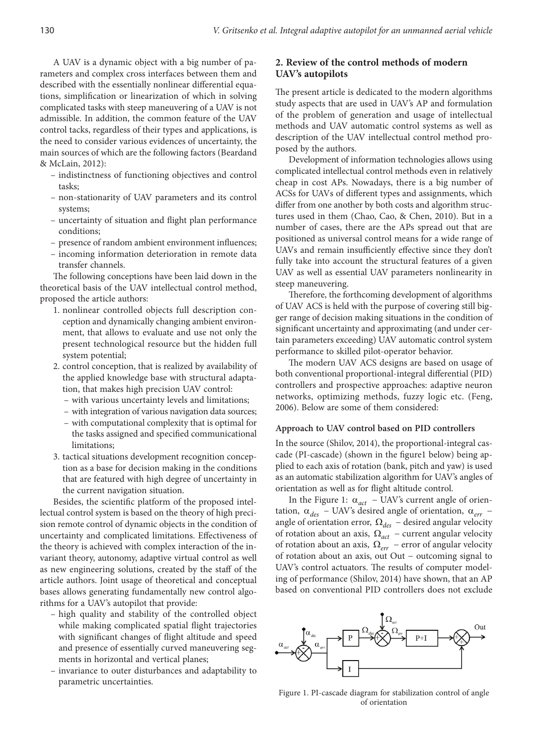A UAV is a dynamic object with a big number of parameters and complex cross interfaces between them and described with the essentially nonlinear differential equations, simplification or linearization of which in solving complicated tasks with steep maneuvering of a UAV is not admissible. In addition, the common feature of the UAV control tacks, regardless of their types and applications, is the need to consider various evidences of uncertainty, the main sources of which are the following factors (Beardand & McLain, 2012):

- indistinctness of functioning objectives and control tasks;
- non-stationarity of UAV parameters and its control systems;
- uncertainty of situation and flight plan performance conditions;
- presence of random ambient environment influences;
- incoming information deterioration in remote data transfer channels.

The following conceptions have been laid down in the theoretical basis of the UAV intellectual control method, proposed the article authors:

- 1. nonlinear controlled objects full description conception and dynamically changing ambient environment, that allows to evaluate and use not only the present technological resource but the hidden full system potential;
- 2. control conception, that is realized by availability of the applied knowledge base with structural adaptation, that makes high precision UAV control:
	- with various uncertainty levels and limitations;
	- with integration of various navigation data sources;
	- with computational complexity that is optimal for the tasks assigned and specified communicational limitations;
- 3. tactical situations development recognition conception as a base for decision making in the conditions that are featured with high degree of uncertainty in the current navigation situation.

Besides, the scientific platform of the proposed intellectual control system is based on the theory of high precision remote control of dynamic objects in the condition of uncertainty and complicated limitations. Effectiveness of the theory is achieved with complex interaction of the invariant theory, autonomy, adaptive virtual control as well as new engineering solutions, created by the staff of the article authors. Joint usage of theoretical and conceptual bases allows generating fundamentally new control algorithms for a UAV's autopilot that provide:

- high quality and stability of the controlled object while making complicated spatial flight trajectories with significant changes of flight altitude and speed and presence of essentially curved maneuvering segments in horizontal and vertical planes;
- invariance to outer disturbances and adaptability to parametric uncertainties.

# **2. Review of the control methods of modern UAV's autopilots**

The present article is dedicated to the modern algorithms study aspects that are used in UAV's AP and formulation of the problem of generation and usage of intellectual methods and UAV automatic control systems as well as description of the UAV intellectual control method proposed by the authors.

Development of information technologies allows using complicated intellectual control methods even in relatively cheap in cost APs. Nowadays, there is a big number of ACSs for UAVs of different types and assignments, which differ from one another by both costs and algorithm structures used in them (Chao, Cao, & Chen, 2010). But in a number of cases, there are the APs spread out that are positioned as universal control means for a wide range of UAVs and remain insufficiently effective since they don't fully take into account the structural features of a given UAV as well as essential UAV parameters nonlinearity in steep maneuvering.

Therefore, the forthcoming development of algorithms of UAV ACS is held with the purpose of covering still bigger range of decision making situations in the condition of significant uncertainty and approximating (and under certain parameters exceeding) UAV automatic control system performance to skilled pilot-operator behavior.

The modern UAV ACS designs are based on usage of both conventional proportional-integral differential (PID) controllers and prospective approaches: adaptive neuron networks, optimizing methods, fuzzy logic etc. (Feng, 2006). Below are some of them considered:

#### **Approach to UAV control based on PID controllers**

In the source (Shilov, 2014), the proportional-integral cascade (PI-cascade) (shown in the figure1 below) being applied to each axis of rotation (bank, pitch and yaw) is used as an automatic stabilization algorithm for UAV's angles of orientation as well as for flight altitude control.

In the Figure 1:  $\alpha_{act}$  – UAV's current angle of orientation,  $\alpha_{des}$  – UAV's desired angle of orientation,  $\alpha_{err}$  – angle of orientation error, Ω*des* − desired angular velocity of rotation about an axis, Ω*act* − current angular velocity of rotation about an axis, Ω*err* − error of angular velocity of rotation about an axis, out Out − outcoming signal to UAV's control actuators. The results of computer modeling of performance (Shilov, 2014) have shown, that an AP based on conventional PID controllers does not exclude



Figure 1. PI-cascade diagram for stabilization control of angle of orientation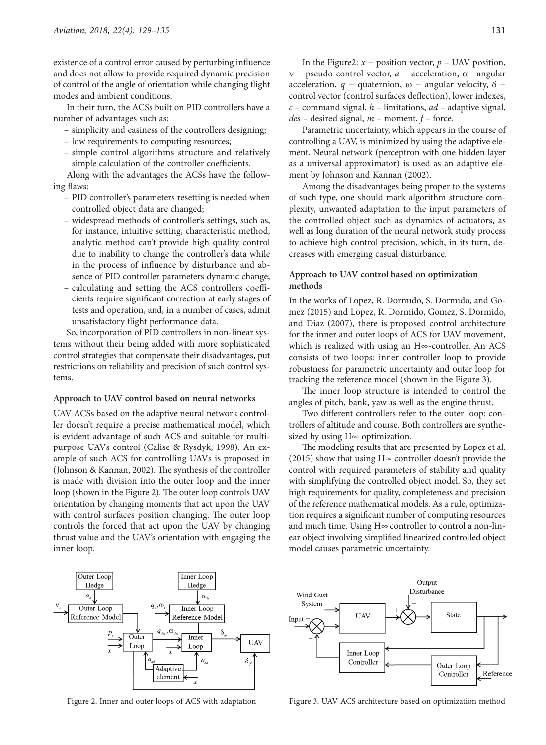existence of a control error caused by perturbing influence and does not allow to provide required dynamic precision of control of the angle of orientation while changing flight modes and ambient conditions.

In their turn, the ACSs built on PID controllers have a number of advantages such as:

- simplicity and easiness of the controllers designing;
- low requirements to computing resources;
- simple control algorithms structure and relatively simple calculation of the controller coefficients.

Along with the advantages the ACSs have the following flaws:

- PID controller's parameters resetting is needed when controlled object data are changed;
- widespread methods of controller's settings, such as, for instance, intuitive setting, characteristic method, analytic method can't provide high quality control due to inability to change the controller's data while in the process of influence by disturbance and absence of PID controller parameters dynamic change;
- calculating and setting the ACS controllers coefficients require significant correction at early stages of tests and operation, and, in a number of cases, admit unsatisfactory flight performance data.

So, incorporation of PID controllers in non-linear systems without their being added with more sophisticated control strategies that compensate their disadvantages, put restrictions on reliability and precision of such control systems.

#### **Approach to UAV control based on neural networks**

UAV ACSs based on the adaptive neural network controller doesn't require a precise mathematical model, which is evident advantage of such ACS and suitable for multipurpose UAVs control (Calise & Rysdyk, 1998). An example of such ACS for controlling UAVs is proposed in (Johnson & Kannan, 2002). The synthesis of the controller is made with division into the outer loop and the inner loop (shown in the Figure 2). The outer loop controls UAV orientation by changing moments that act upon the UAV with control surfaces position changing. The outer loop controls the forced that act upon the UAV by changing thrust value and the UAV's orientation with engaging the inner loop.

In the Figure2:  $x$  – position vector,  $p$  – UAV position, ν − pseudo control vector, *a* − acceleration, α− angular acceleration,  $q$  – quaternion, ω – angular velocity,  $\delta$  – control vector (control surfaces deflection), lower indexes, *с –* command signal, *h –* limitations, *ad –* adaptive signal, *des –* desired signal, *m –* moment, *f –* force.

Parametric uncertainty, which appears in the course of controlling a UAV, is minimized by using the adaptive element. Neural network (perceptron with one hidden layer as a universal approximator) is used as an adaptive element by Johnson and Kannan (2002).

Among the disadvantages being proper to the systems of such type, one should mark algorithm structure complexity, unwanted adaptation to the input parameters of the controlled object such as dynamics of actuators, as well as long duration of the neural network study process to achieve high control precision, which, in its turn, decreases with emerging casual disturbance.

## **Approach to UAV control based on optimization methods**

In the works of Lopez, R. Dormido, S. Dormido, and Gomez (2015) and Lopez, R. Dormido, Gomez, S. Dormido, and Diaz (2007), there is proposed control architecture for the inner and outer loops of ACS for UAV movement, which is realized with using an H∞-controller. An ACS consists of two loops: inner controller loop to provide robustness for parametric uncertainty and outer loop for tracking the reference model (shown in the Figure 3).

The inner loop structure is intended to control the angles of pitch, bank, yaw as well as the engine thrust.

Two different controllers refer to the outer loop: controllers of altitude and course. Both controllers are synthesized by using H∞ optimization.

The modeling results that are presented by Lopez et al. (2015) show that using H∞ controller doesn't provide the control with required parameters of stability and quality with simplifying the controlled object model. So, they set high requirements for quality, completeness and precision of the reference mathematical models. As a rule, optimization requires a significant number of computing resources and much time. Using  $H<sub>∞</sub>$  controller to control a non-linear object involving simplified linearized controlled object model causes parametric uncertainty.



Figure 2. Inner and outer loops of ACS with adaptation Figure 3. UAV ACS architecture based on optimization method

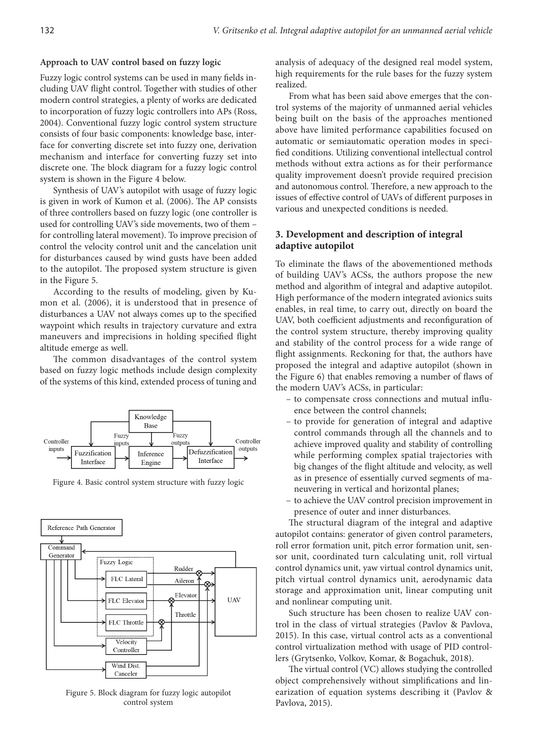#### **Approach to UAV control based on fuzzy logic**

Fuzzy logic control systems can be used in many fields including UAV flight control. Together with studies of other modern control strategies, a plenty of works are dedicated to incorporation of fuzzy logic controllers into APs (Ross, 2004). Conventional fuzzy logic control system structure consists of four basic components: knowledge base, interface for converting discrete set into fuzzy one, derivation mechanism and interface for converting fuzzy set into discrete one. The block diagram for a fuzzy logic control system is shown in the Figure 4 below.

Synthesis of UAV's autopilot with usage of fuzzy logic is given in work of Kumon et al. (2006). The AP consists of three controllers based on fuzzy logic (one controller is used for controlling UAV's side movements, two of them – for controlling lateral movement). To improve precision of control the velocity control unit and the cancelation unit for disturbances caused by wind gusts have been added to the autopilot. The proposed system structure is given in the Figure 5.

According to the results of modeling, given by Kumon et al. (2006), it is understood that in presence of disturbances a UAV not always comes up to the specified waypoint which results in trajectory curvature and extra maneuvers and imprecisions in holding specified flight altitude emerge as well.

The common disadvantages of the control system based on fuzzy logic methods include design complexity of the systems of this kind, extended process of tuning and



Figure 4. Basic control system structure with fuzzy logic



Figure 5. Block diagram for fuzzy logic autopilot control system

analysis of adequacy of the designed real model system, high requirements for the rule bases for the fuzzy system realized.

From what has been said above emerges that the control systems of the majority of unmanned aerial vehicles being built on the basis of the approaches mentioned above have limited performance capabilities focused on automatic or semiautomatic operation modes in specified conditions. Utilizing conventional intellectual control methods without extra actions as for their performance quality improvement doesn't provide required precision and autonomous control. Therefore, a new approach to the issues of effective control of UAVs of different purposes in various and unexpected conditions is needed.

### **3. Development and description of integral adaptive autopilot**

To eliminate the flaws of the abovementioned methods of building UAV's ACSs, the authors propose the new method and algorithm of integral and adaptive autopilot. High performance of the modern integrated avionics suits enables, in real time, to carry out, directly on board the UAV, both coefficient adjustments and reconfiguration of the control system structure, thereby improving quality and stability of the control process for a wide range of flight assignments. Reckoning for that, the authors have proposed the integral and adaptive autopilot (shown in the Figure 6) that enables removing a number of flaws of the modern UAV's ACSs, in particular:

- to compensate cross connections and mutual influence between the control channels;
- to provide for generation of integral and adaptive control commands through all the channels and to achieve improved quality and stability of controlling while performing complex spatial trajectories with big changes of the flight altitude and velocity, as well as in presence of essentially curved segments of maneuvering in vertical and horizontal planes;
- to achieve the UAV control precision improvement in presence of outer and inner disturbances.

The structural diagram of the integral and adaptive autopilot contains: generator of given control parameters, roll error formation unit, pitch error formation unit, sensor unit, coordinated turn calculating unit, roll virtual control dynamics unit, yaw virtual control dynamics unit, pitch virtual control dynamics unit, aerodynamic data storage and approximation unit, linear computing unit and nonlinear computing unit.

Such structure has been chosen to realize UAV control in the class of virtual strategies (Pavlov & Pavlova, 2015). In this case, virtual control acts as a conventional control virtualization method with usage of PID controllers (Grytsenko, Volkov, Komar, & Bogachuk, 2018).

The virtual control (VC) allows studying the controlled object comprehensively without simplifications and linearization of equation systems describing it (Pavlov & Pavlova, 2015).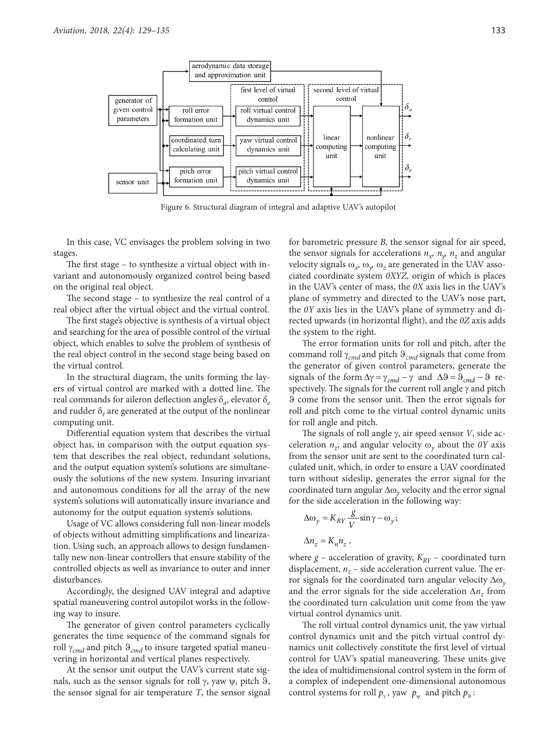

Figure 6. Structural diagram of integral and adaptive UAV's autopilot

In this case, VC envisages the problem solving in two stages.

The first stage – to synthesize a virtual object with invariant and autonomously organized control being based on the original real object.

The second stage – to synthesize the real control of a real object after the virtual object and the virtual control.

The first stage's objective is synthesis of a virtual object and searching for the area of possible control of the virtual object, which enables to solve the problem of synthesis of the real object control in the second stage being based on the virtual control.

In the structural diagram, the units forming the layers of virtual control are marked with a dotted line. The real commands for aileron deflection angles δ*a*, elevator δ*<sup>e</sup>* and rudder  $\delta_r$  are generated at the output of the nonlinear computing unit.

Differential equation system that describes the virtual object has, in comparison with the output equation system that describes the real object, redundant solutions, and the output equation system's solutions are simultaneously the solutions of the new system. Insuring invariant and autonomous conditions for all the array of the new system's solutions will automatically insure invariance and autonomy for the output equation system's solutions.

Usage of VC allows considering full non-linear models of objects without admitting simplifications and linearization. Using such, an approach allows to design fundamentally new non-linear controllers that ensure stability of the controlled objects as well as invariance to outer and inner disturbances.

Accordingly, the designed UAV integral and adaptive spatial maneuvering control autopilot works in the following way to insure.

The generator of given control parameters cyclically generates the time sequence of the command signals for roll γ*cmd* and pitch ϑ*cmd* to insure targeted spatial maneuvering in horizontal and vertical planes respectively.

At the sensor unit output the UAV's current state signals, such as the sensor signals for roll γ, yaw ψ*,* pitch ϑ, the sensor signal for air temperature *T*, the sensor signal for barometric pressure *B,* the sensor signal for air speed, the sensor signals for accelerations  $n_x$ ,  $n_y$ ,  $n_z$  and angular velocity signals  $\omega_{x}$ ,  $\omega_{y}$ ,  $\omega_{z}$  are generated in the UAV associated coordinate system *0XYZ,* origin of which is places in the UAV's center of mass, the *0X* axis lies in the UAV's plane of symmetry and directed to the UAV's nose part, the *0Y* axis lies in the UAV's plane of symmetry and directed upwards (in horizontal flight), and the *0Z* axis adds the system to the right.

The error formation units for roll and pitch, after the command roll γ*cmd* and pitch ϑ*cmd* signals that come from the generator of given control parameters, generate the signals of the form  $\Delta \gamma = \gamma_{cmd} - \gamma$  and  $\Delta \theta = \theta_{cmd} - \theta$  respectively. The signals for the current roll angle γ and pitch ϑ come from the sensor unit. Then the error signals for roll and pitch come to the virtual control dynamic units for roll angle and pitch.

The signals of roll angle γ, air speed sensor *V*, side acceleration  $n<sub>z</sub>$  and angular velocity  $\omega<sub>v</sub>$  about the *0Y* axis from the sensor unit are sent to the coordinated turn calculated unit, which, in order to ensure a UAV coordinated turn without sideslip, generates the error signal for the coordinated turn angular Δω*y* velocity and the error signal for the side acceleration in the following way:

$$
\Delta \omega_y = K_{RY} \frac{g}{V} \sin \gamma - \omega_y;
$$
  

$$
\Delta n_z = K_n n_z,
$$

where  $g$  – acceleration of gravity,  $K_{RY}$  – coordinated turn displacement,  $n_z$  – side acceleration current value. The error signals for the coordinated turn angular velocity Δω*<sup>y</sup>* and the error signals for the side acceleration Δ*nz* from the coordinated turn calculation unit come from the yaw virtual control dynamics unit.

The roll virtual control dynamics unit, the yaw virtual control dynamics unit and the pitch virtual control dynamics unit collectively constitute the first level of virtual control for UAV's spatial maneuvering. These units give the idea of multidimensional control system in the form of a complex of independent one-dimensional autonomous control systems for roll  $p_y$ , yaw  $p_y$  and pitch  $p_9$ :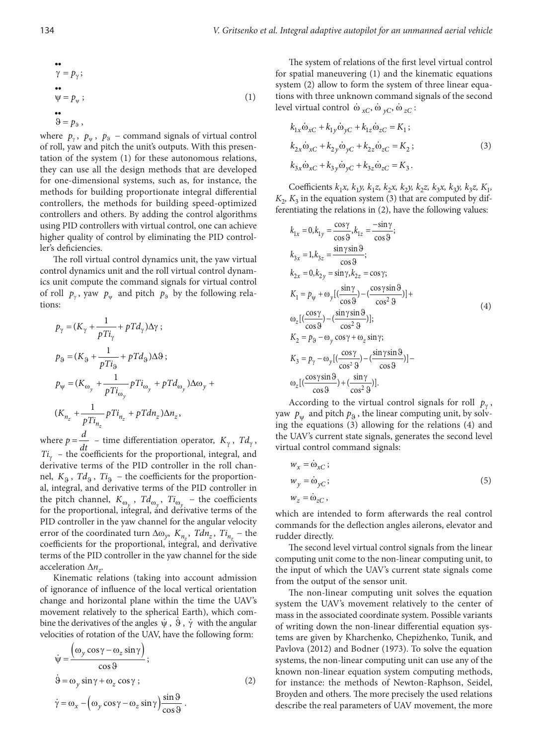$$
\begin{aligned}\n\bullet & \bullet \\
\gamma &= p_{\gamma} ; \\
\bullet & \bullet \\
\psi &= p_{\psi} ;\n\end{aligned}\n\tag{1}
$$

$$
\mathfrak{S}=p_{\mathfrak{g}}\,,
$$

where  $p_{\gamma}$ ,  $p_{\psi}$ ,  $p_{\theta}$  – command signals of virtual control of roll, yaw and pitch the unit's outputs. With this presentation of the system (1) for these autonomous relations, they can use all the design methods that are developed for one-dimensional systems, such as, for instance, the methods for building proportionate integral differential controllers, the methods for building speed-optimized controllers and others. By adding the control algorithms using PID controllers with virtual control, one can achieve higher quality of control by eliminating the PID controller's deficiencies.

The roll virtual control dynamics unit, the yaw virtual control dynamics unit and the roll virtual control dynamics unit compute the command signals for virtual control of roll  $p_y$ , yaw  $p_y$  and pitch  $p_9$  by the following relations:

$$
p_{\gamma} = (K_{\gamma} + \frac{1}{pTi_{\gamma}} + pTd_{\gamma})\Delta\gamma ;
$$
  
\n
$$
p_{\vartheta} = (K_{\vartheta} + \frac{1}{pTi_{\vartheta}} + pTd_{\vartheta})\Delta\vartheta ;
$$
  
\n
$$
p_{\psi} = (K_{\omega_{\gamma}} + \frac{1}{pTi_{\omega_{\gamma}}} pTi_{\omega_{\gamma}} + pTd_{\omega_{\gamma}})\Delta\omega_{\gamma} +
$$
  
\n
$$
(K_{n_z} + \frac{1}{pTi_{n_z}} pTi_{n_z} + pTdn_z)\Delta n_z,
$$

where  $p = \frac{d}{dt}$  – time differentiation operator,  $K_{\gamma}$ ,  $Td_{\gamma}$ ,  $Ti<sub>y</sub>$  – the coefficients for the proportional, integral, and derivative terms of the PID controller in the roll channel,  $K_{\alpha}$ ,  $Td_{\alpha}$ ,  $Ti_{\alpha}$  – the coefficients for the proportional, integral, and derivative terms of the PID controller in the pitch channel,  $K_{\omega_y}$ ,  $Td_{\omega_y}$ ,  $T_{\omega_y}$  – the coefficients for the proportional, integral, and derivative terms of the PID controller in the yaw channel for the angular velocity error of the coordinated turn  $\Delta\omega_{v}$ ,  $K_{n}$ ,  $Tdn_{z}$ ,  $Ti_{n}$  – the coefficients for the proportional, integral, and derivative terms of the PID controller in the yaw channel for the side acceleration Δ*nz*.

Kinematic relations (taking into account admission of ignorance of influence of the local vertical orientation change and horizontal plane within the time the UAV's movement relatively to the spherical Earth), which combine the derivatives of the angles  $\psi$ ,  $\dot{\theta}$ ,  $\dot{\gamma}$  with the angular velocities of rotation of the UAV, have the following form:

$$
\dot{\psi} = \frac{(\omega_y \cos \gamma - \omega_z \sin \gamma)}{\cos \vartheta};
$$
\n
$$
\dot{\vartheta} = \omega_y \sin \gamma + \omega_z \cos \gamma;
$$
\n
$$
\dot{\gamma} = \omega_x - (\omega_y \cos \gamma - \omega_z \sin \gamma) \frac{\sin \vartheta}{\cos \vartheta}.
$$
\n(2)

The system of relations of the first level virtual control for spatial maneuvering (1) and the kinematic equations system (2) allow to form the system of three linear equations with three unknown command signals of the second level virtual control  $\dot{\omega}_{\alpha C}$ ,  $\dot{\omega}_{\gamma C}$ ,  $\dot{\omega}_{zC}$ :

$$
k_{1x}\dot{\omega}_{xC} + k_{1y}\dot{\omega}_{yC} + k_{1z}\dot{\omega}_{zC} = K_1;
$$
  
\n
$$
k_{2x}\dot{\omega}_{xC} + k_{2y}\dot{\omega}_{yC} + k_{2z}\dot{\omega}_{zC} = K_2;
$$
  
\n
$$
k_{3x}\dot{\omega}_{xC} + k_{3y}\dot{\omega}_{yC} + k_{3z}\dot{\omega}_{zC} = K_3.
$$
  
\n(3)

Coefficients  $k_1x, k_1y, k_1z, k_2x, k_2y, k_2z, k_3x, k_3y, k_3z, K_1$  $K<sub>2</sub>$ ,  $K<sub>3</sub>$  in the equation system (3) that are computed by differentiating the relations in (2), have the following values:

$$
k_{1x} = 0, k_{1y} = \frac{\cos \gamma}{\cos \vartheta}, k_{1z} = \frac{-\sin \gamma}{\cos \vartheta};
$$
  
\n
$$
k_{3x} = 1, k_{3z} = \frac{\sin \gamma \sin \vartheta}{\cos \vartheta};
$$
  
\n
$$
k_{2x} = 0, k_{2y} = \sin \gamma, k_{2z} = \cos \gamma;
$$
  
\n
$$
K_1 = p_{\psi} + \omega_y [(\frac{\sin \gamma}{\cos \vartheta}) - (\frac{\cos \gamma \sin \vartheta}{\cos^2 \vartheta})] +
$$
  
\n
$$
\omega_z [(\frac{\cos \gamma}{\cos \vartheta}) - (\frac{\sin \gamma \sin \vartheta}{\cos^2 \vartheta})];
$$
  
\n
$$
K_2 = p_3 - \omega_y \cos \gamma + \omega_z \sin \gamma;
$$
  
\n
$$
K_3 = p_{\gamma} - \omega_y [(\frac{\cos \gamma}{\cos^2 \vartheta}) - (\frac{\sin \gamma \sin \vartheta}{\cos \vartheta})] -
$$
  
\n
$$
\omega_z [(\frac{\cos \gamma \sin \vartheta}{\cos \vartheta}) + (\frac{\sin \gamma}{\cos^2 \vartheta})].
$$

According to the virtual control signals for roll  $p_{\gamma}$ , yaw  $p_w$  and pitch  $p_9$ , the linear computing unit, by solving the equations (3) allowing for the relations (4) and the UAV's current state signals, generates the second level virtual control command signals:

$$
w_x = \dot{\omega}_{xC};
$$
  
\n
$$
w_y = \dot{\omega}_{yC};
$$
  
\n
$$
w_z = \dot{\omega}_{zC},
$$
\n(5)

which are intended to form afterwards the real control commands for the deflection angles ailerons, elevator and rudder directly.

The second level virtual control signals from the linear computing unit come to the non-linear computing unit, to the input of which the UAV's current state signals come from the output of the sensor unit.

The non-linear computing unit solves the equation system the UAV's movement relatively to the center of mass in the associated coordinate system. Possible variants of writing down the non-linear differential equation systems are given by Kharchenko, Chepizhenko, Tunik, and Pavlova (2012) and Bodner (1973). To solve the equation systems, the non-linear computing unit can use any of the known non-linear equation system computing methods, for instance: the methods of Newton-Raphson, Seidel, Broyden and others. The more precisely the used relations describe the real parameters of UAV movement, the more